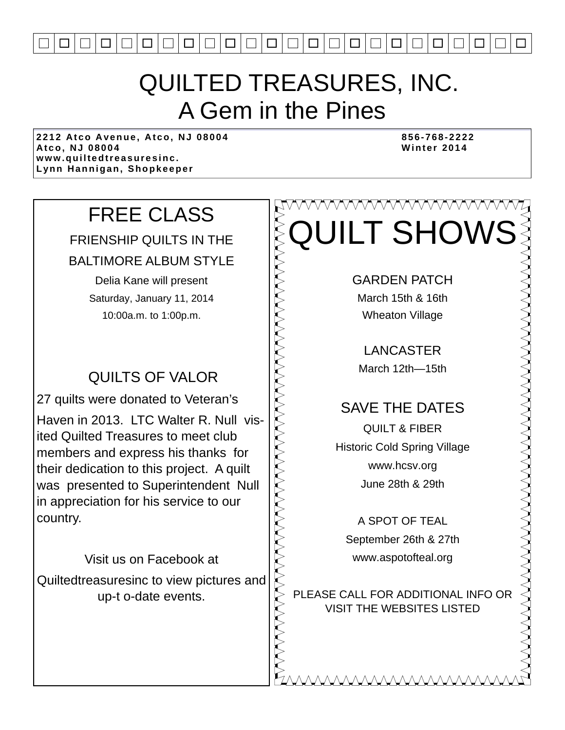

### QUILTED TREASURES, INC. A Gem in the Pines

**2212 Atco Avenue, Atco, NJ 08004 856-768-2222**  Atco, NJ 08004 **www.quiltedtreasuresinc. Lynn Hannigan, Shopkeeper** 

### FREE CLASS

FRIENSHIP QUILTS IN THE

BALTIMORE ALBUM STYLE

Delia Kane will present Saturday, January 11, 2014 10:00a.m. to 1:00p.m.

### QUILTS OF VALOR

27 quilts were donated to Veteran's Haven in 2013. LTC Walter R. Null visited Quilted Treasures to meet club members and express his thanks for their dedication to this project. A quilt was presented to Superintendent Null in appreciation for his service to our country.

Visit us on Facebook at Quiltedtreasuresinc to view pictures and up-t o-date events.

## **AAAAAAAAAA** QUILT SHOWS

GARDEN PATCH

March 15th & 16th Wheaton Village

LANCASTER March 12th—15th

### SAVE THE DATES

QUILT & FIBER Historic Cold Spring Village www.hcsv.org June 28th & 29th

A SPOT OF TEAL September 26th & 27th www.aspotofteal.org

PLEASE CALL FOR ADDITIONAL INFO OR VISIT THE WEBSITES LISTED

MMMMMMMM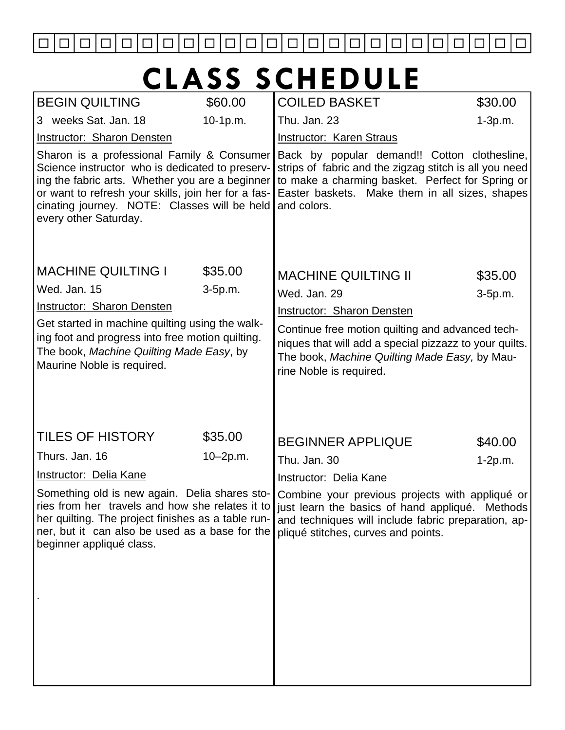

# **CLASS SCHEDULE**

| \$60.00                                                                                                                                                                                                                                                                                                               | <b>COILED BASKET</b>                | \$30.00                                                                                                                                                                                                                                                                                                                                                                   |  |  |
|-----------------------------------------------------------------------------------------------------------------------------------------------------------------------------------------------------------------------------------------------------------------------------------------------------------------------|-------------------------------------|---------------------------------------------------------------------------------------------------------------------------------------------------------------------------------------------------------------------------------------------------------------------------------------------------------------------------------------------------------------------------|--|--|
| $10-1p.m.$                                                                                                                                                                                                                                                                                                            | Thu. Jan. 23                        | $1-3p.m.$                                                                                                                                                                                                                                                                                                                                                                 |  |  |
|                                                                                                                                                                                                                                                                                                                       | <b>Instructor: Karen Straus</b>     |                                                                                                                                                                                                                                                                                                                                                                           |  |  |
| <b>Instructor: Sharon Densten</b><br>Sharon is a professional Family & Consumer<br>Science instructor who is dedicated to preserv-<br>ing the fabric arts. Whether you are a beginner<br>or want to refresh your skills, join her for a fas-<br>cinating journey. NOTE: Classes will be held<br>every other Saturday. |                                     | Back by popular demand!! Cotton clothesline,<br>strips of fabric and the zigzag stitch is all you need<br>to make a charming basket. Perfect for Spring or<br>Easter baskets. Make them in all sizes, shapes<br>and colors.                                                                                                                                               |  |  |
| \$35.00                                                                                                                                                                                                                                                                                                               |                                     | \$35.00                                                                                                                                                                                                                                                                                                                                                                   |  |  |
| 3-5p.m.                                                                                                                                                                                                                                                                                                               |                                     | $3-5p.m.$                                                                                                                                                                                                                                                                                                                                                                 |  |  |
|                                                                                                                                                                                                                                                                                                                       |                                     |                                                                                                                                                                                                                                                                                                                                                                           |  |  |
| Get started in machine quilting using the walk-<br>ing foot and progress into free motion quilting.<br>The book, Machine Quilting Made Easy, by<br>Maurine Noble is required.                                                                                                                                         |                                     | Continue free motion quilting and advanced tech-<br>niques that will add a special pizzazz to your quilts.<br>The book, Machine Quilting Made Easy, by Mau-<br>rine Noble is required.                                                                                                                                                                                    |  |  |
| \$35.00                                                                                                                                                                                                                                                                                                               |                                     | \$40.00                                                                                                                                                                                                                                                                                                                                                                   |  |  |
| $10 - 2p.m.$                                                                                                                                                                                                                                                                                                          |                                     | $1-2p.m.$                                                                                                                                                                                                                                                                                                                                                                 |  |  |
|                                                                                                                                                                                                                                                                                                                       |                                     |                                                                                                                                                                                                                                                                                                                                                                           |  |  |
| Something old is new again. Delia shares sto-<br>her quilting. The project finishes as a table run-<br>ner, but it can also be used as a base for the                                                                                                                                                                 | pliqué stitches, curves and points. |                                                                                                                                                                                                                                                                                                                                                                           |  |  |
|                                                                                                                                                                                                                                                                                                                       |                                     | <b>MACHINE QUILTING II</b><br>Wed. Jan. 29<br><b>Instructor: Sharon Densten</b><br><b>BEGINNER APPLIQUE</b><br>Thu. Jan. 30<br><b>Instructor: Delia Kane</b><br>Combine your previous projects with appliqué or<br>ries from her travels and how she relates it to just learn the basics of hand appliqué. Methods<br>and techniques will include fabric preparation, ap- |  |  |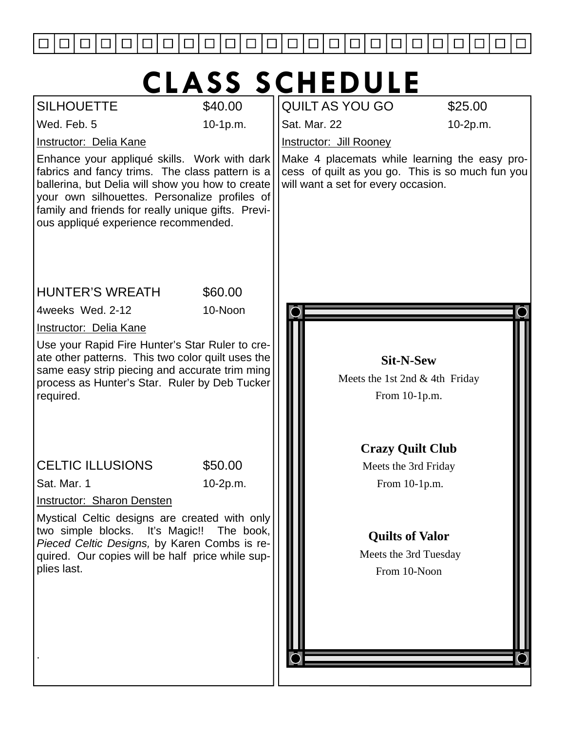

# **CLASS SCHEDULE**

| <b>SILHOUETTE</b>                                                                                                                                                                                                                                                                                  | \$40.00   | <b>QUILT AS YOU GO</b>              | \$25.00                                                                                           |
|----------------------------------------------------------------------------------------------------------------------------------------------------------------------------------------------------------------------------------------------------------------------------------------------------|-----------|-------------------------------------|---------------------------------------------------------------------------------------------------|
| Wed. Feb. 5                                                                                                                                                                                                                                                                                        | 10-1p.m.  | Sat. Mar. 22                        | 10-2p.m.                                                                                          |
| <b>Instructor: Delia Kane</b>                                                                                                                                                                                                                                                                      |           | <b>Instructor: Jill Rooney</b>      |                                                                                                   |
| Enhance your appliqué skills. Work with dark<br>fabrics and fancy trims. The class pattern is a<br>ballerina, but Delia will show you how to create<br>your own silhouettes. Personalize profiles of<br>family and friends for really unique gifts. Previ-<br>ous appliqué experience recommended. |           | will want a set for every occasion. | Make 4 placemats while learning the easy pro-<br>cess of quilt as you go. This is so much fun you |
| <b>HUNTER'S WREATH</b>                                                                                                                                                                                                                                                                             | \$60.00   |                                     |                                                                                                   |
| 4weeks Wed. 2-12                                                                                                                                                                                                                                                                                   | 10-Noon   |                                     |                                                                                                   |
| <b>Instructor: Delia Kane</b>                                                                                                                                                                                                                                                                      |           |                                     |                                                                                                   |
| Use your Rapid Fire Hunter's Star Ruler to cre-<br>ate other patterns. This two color quilt uses the<br>same easy strip piecing and accurate trim ming<br>process as Hunter's Star. Ruler by Deb Tucker<br>required.                                                                               |           |                                     | <b>Sit-N-Sew</b><br>Meets the 1st 2nd $&$ 4th Friday<br>From 10-1p.m.<br><b>Crazy Quilt Club</b>  |
| <b>CELTIC ILLUSIONS</b>                                                                                                                                                                                                                                                                            | \$50.00   |                                     | Meets the 3rd Friday                                                                              |
| Sat. Mar. 1                                                                                                                                                                                                                                                                                        | 10-2p.m.  |                                     | From 10-1p.m.                                                                                     |
| Instructor: Sharon Densten                                                                                                                                                                                                                                                                         |           |                                     |                                                                                                   |
| Mystical Celtic designs are created with only<br>two simple blocks. It's Magic!!<br>Pieced Celtic Designs, by Karen Combs is re-<br>quired. Our copies will be half price while sup-<br>plies last.                                                                                                | The book, |                                     | <b>Quilts of Valor</b><br>Meets the 3rd Tuesday<br>From 10-Noon                                   |